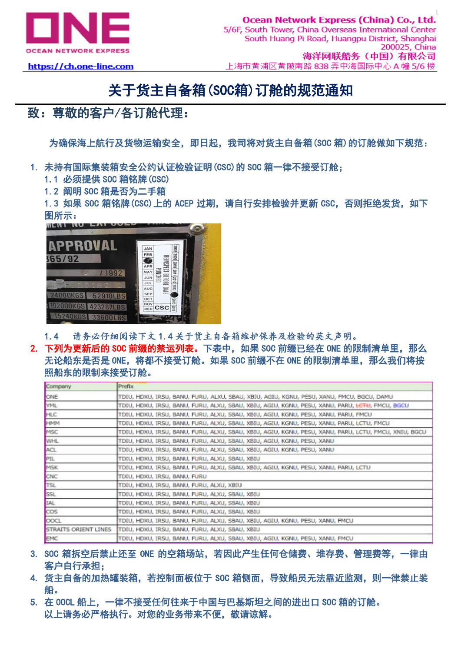

## https://ch.one-line.com

## 关于货主自备箱(SOC箱)订舱的规范通知

## 致:尊敬的客户/各订舱代理:

为确保海上航行及货物运输安全,即日起,我司将对货主自备箱(SOC 箱)的订舱做如下规范:

- 1. 未持有国际集装箱安全公约认证检验证明(CSC)的 SOC 箱一律不接受订舱;
	- 1.1 必须提供 SOC 箱铭牌(CSC)
	- 1.2 阐明 SOC 箱是否为二手箱

1.3 如果 SOC 箱铭牌(CSC)上的 ACEP 过期, 请自行安排检验并更新 CSC, 否则拒绝发货, 如下 图所示:



- 1.4 请务必仔细阅读下文 1.4 关于货主自备箱维护保养及检验的英文声明。
- 2. 下列为更新后的 SOC 前缀的禁运列表。下表中, 如果 SOC 前缀已经在 ONE 的限制清单里, 那么 无论船东是否是 ONE, 将都不接受订舱。如果 SOC 前缀不在 ONE 的限制清单里, 那么我们将按 照船东的限制来接受订舱。

| Company              | Prefix                                                                                                                 |
|----------------------|------------------------------------------------------------------------------------------------------------------------|
| ONE                  | TDIU, HDXU, IRSU, BANU, FURU, ALXU, SBAU, XBIU, AGIU, KGNU, PESU, XANU, FMCU, BGCU, DAMU                               |
| <b>YML</b>           | tdīu, Hdxu, Irsu, Banu, Furu, Alxu, Sbau, Xbīu, Agīu, Kgnu, Pesu, Xanu, Paru, <del>Letu</del> , Fmcu, <del>B</del> gcu |
| <b>HLC</b>           | TDIU, HDXU, IRSU, BANU, FURU, ALXU, SBAU, XBIU, AGIU, KGNU, PESU, XANU, PARU, FMCU                                     |
| <b>HMM</b>           | TDIU, HDXU, IRSU, BANU, FURU, ALXU, SBAU, XBIU, AGIU, KGNU, PESU, XANU, PARU, LCTU, FMCU                               |
| MSC                  | TDIU, HDXU, IRSU, BANU, FURU, ALXU, SBAU, XBIU, AGIU, KGNU, PESU, XANU, PARU, LCTU, FMCU, XNIU, BGCU                   |
| WHL                  | TDIU, HDXU, IRSU, BANU, FURU, ALXU, SBAU, XBIU, AGIU, KGNU, PESU, XANU                                                 |
| ACL.                 | TDIU, HDXU, IRSU, BANU, FURU, ALXU, SBAU, XBIU, AGIU, KGNU, PESU, XANU                                                 |
| PIL.                 | TDIU, HDXU, IRSU, BANU, FURU, ALXU, SBAU, XBIU                                                                         |
| MSK                  | TDIU, HDXU, IRSU, BANU, FURU, ALXU, SBAU, XBIU, AGIU, KGNU, PESU, XANU, PARU, LCTU                                     |
| CNC                  | TDIU, HDXU, IRSU, BANU, FURU                                                                                           |
| <b>TSL</b>           | TDIU, HDXU, IRSU, BANU, FURU, ALXU, XBIU                                                                               |
| SSL.                 | TDIU, HDXU, IRSU, BANU, FURU, ALXU, SBAU, XBIU                                                                         |
| IAL                  | TDIU, HDXU, IRSU, BANU, FURU, ALXU, SBAU, XBIU                                                                         |
| <b>COS</b>           | TDIU, HDXU, IRSU, BANU, FURU, ALXU, SBAU, XBIU                                                                         |
| <b>COCL</b>          | TDIU, HDXU, IRSU, BANU, FURU, ALXU, SBAU, XBIU, AGIU, KGNU, PESU, XANU, FMCU                                           |
| STRAITS ORIENT LINES | TDIU, HDXU, IRSU, BANU, FURU, ALXU, SBAU, XBIU                                                                         |
| <b>EMC</b>           | TDIU, HDXU, IRSU, BANU, FURU, ALXU, SBAU, XBIU, AGIU, KGNU, PESU, XANU, FMCU                                           |

- 3. SOC 箱拆空后禁止还至 ONE 的空箱场站, 若因此产生任何仓储费、堆存费、管理费等, 一律由 客户自行承担;
- 4. 货主自备的加热罐装箱,若控制面板位于 SOC 箱侧面,导致船员无法靠近监测,则一律禁止装 船。
- 5. 在 OOCL 船上,一律不接受任何往来于中国与巴基斯坦之间的进出口 SOC 箱的订舱。 以上请务必严格执行。对您的业务带来不便,敬请谅解。